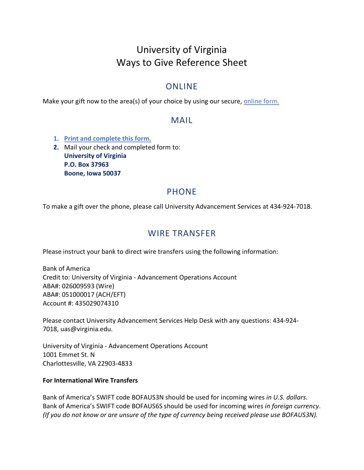# University of Virginia Ways to Give Reference Sheet

#### ONLINE

Make your gift now to the area(s) of your choice by using our secure, [online form.](https://www.givecampus.com/campaigns/18076/donations/new?a=4719376)

#### MAIL

- **1. [Print and complete this form.](https://sorensendev1.coopercenter.org/sites/sorensen/files/media/files/2022-02/UAServices_MailCheckForm_2022-02.pdf)**
- **2.** Mail your check and completed form to: **University of Virginia P.O. Box 37963 Boone, Iowa 50037**

### PHONE

To make a gift over the phone, please call University Advancement Services at 434-924-7018.

#### WIRE TRANSFER

Please instruct your bank to direct wire transfers using the following information:

Bank of America Credit to: University of Virginia - Advancement Operations Account ABA#: 026009593 (Wire) ABA#: 051000017 (ACH/EFT) Account #: 435029074310

Please contact University Advancement Services Help Desk with any questions: 434-924- 7018, [uas@virginia.edu.](mailto:uas@virginia.edu)

University of Virginia - Advancement Operations Account 1001 Emmet St. N Charlottesville, VA 22903-4833

#### **For International Wire Transfers**

Bank of America's SWIFT code BOFAUS3N should be used for incoming wires *in U.S. dollars*. Bank of America's SWIFT code BOFAUS6S should be used for incoming wires *in foreign currency*. *(If you do not know or are unsure of the type of currency being received please use BOFAUS3N).*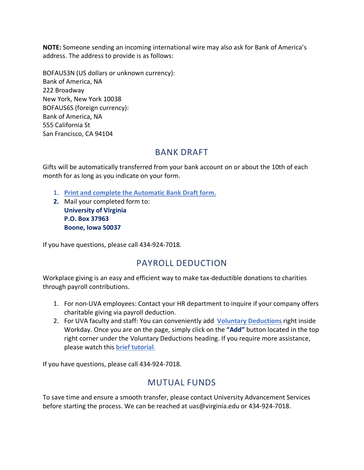**NOTE:** Someone sending an incoming international wire may also ask for Bank of America's address. The address to provide is as follows:

BOFAUS3N (US dollars or unknown currency): Bank of America, NA 222 Broadway New York, New York 10038 BOFAUS6S (foreign currency): Bank of America, NA 555 California St San Francisco, CA 94104

### BANK DRAFT

Gifts will be automatically transferred from your bank account on or about the 10th of each month for as long as you indicate on your form.

- **1. [Print and complete the Automatic Bank Draft](https://giving.virginia.edu/sites/default/files/2020-09/Bank%20Draft.pdf) form.**
- **2.** Mail your completed form to: **University of Virginia P.O. Box 37963 Boone, Iowa 50037**

If you have questions, please call 434-924-7018.

## PAYROLL DEDUCTION

Workplace giving is an easy and efficient way to make tax-deductible donations to charities through payroll contributions.

- 1. For non-UVA employees: Contact your HR department to inquire if your company offers charitable giving via payroll deduction.
- 2. For UVA faculty and staff: You can conveniently add **[Voluntary Deductions](https://www.myworkday.com/uva/d/task/2998$37276.htmld)** right inside Workday. Once you are on the page, simply click on the **"Add"** button located in the top right corner under the Voluntary Deductions heading. If you require more assistance, please watch this **[brief tutorial](https://hub.advancement.virginia.edu/subpage/uva-payroll-deduction)**.

If you have questions, please call 434-924-7018.

### MUTUAL FUNDS

To save time and ensure a smooth transfer, please contact University Advancement Services before starting the process. We can be reached at [uas@virginia.edu](mailto:uas@virginia.edu) or 434-924-7018.